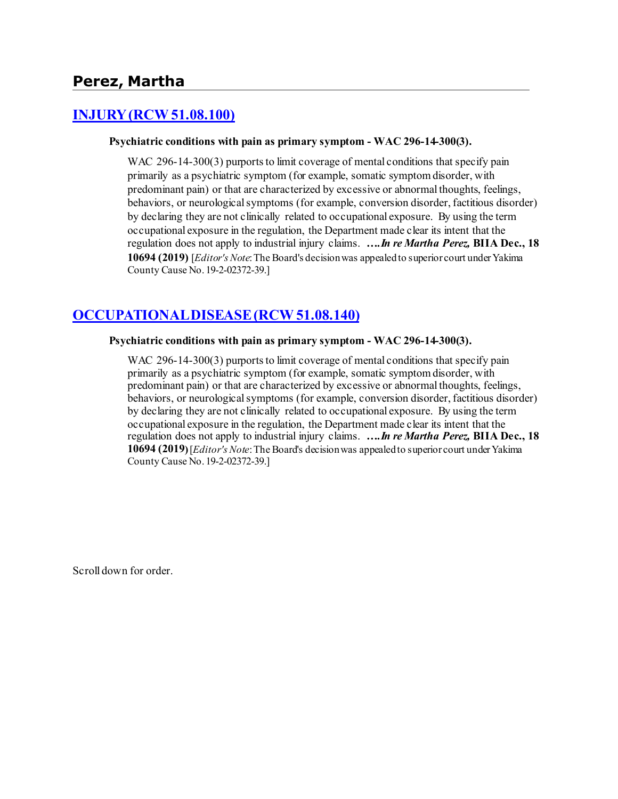# **[INJURY \(RCW 51.08.100\)](http://www.biia.wa.gov/SDSubjectIndex.html#INJURY)**

#### **Psychiatric conditions with pain as primary symptom - WAC 296-14-300(3).**

WAC 296-14-300(3) purports to limit coverage of mental conditions that specify pain primarily as a psychiatric symptom (for example, somatic symptom disorder, with predominant pain) or that are characterized by excessive or abnormal thoughts, feelings, behaviors, or neurological symptoms (for example, conversion disorder, factitious disorder) by declaring they are not clinically related to occupational exposure. By using the term occupational exposure in the regulation, the Department made clear its intent that the regulation does not apply to industrial injury claims. *….In re Martha Perez,* **BIIA Dec., 18 10694 (2019)** [*Editor'sNote*: The Board's decision was appealed to superior court under Yakima County Cause No. 19-2-02372-39.]

# **[OCCUPATIONAL DISEASE \(RCW 51.08.140\)](http://www.biia.wa.gov/SDSubjectIndex.html#OCCUPATIONAL_DISEASE)**

#### **Psychiatric conditions with pain as primary symptom - WAC 296-14-300(3).**

WAC 296-14-300(3) purports to limit coverage of mental conditions that specify pain primarily as a psychiatric symptom (for example, somatic symptom disorder, with predominant pain) or that are characterized by excessive or abnormal thoughts, feelings, behaviors, or neurological symptoms (for example, conversion disorder, factitious disorder) by declaring they are not clinically related to occupational exposure. By using the term occupational exposure in the regulation, the Department made clear its intent that the regulation does not apply to industrial injury claims. *….In re Martha Perez,* **BIIA Dec., 18 10694 (2019)** *[Editor's Note:* The Board's decision was appealed to superior court under Yakima County Cause No. 19-2-02372-39.]

Scroll down for order.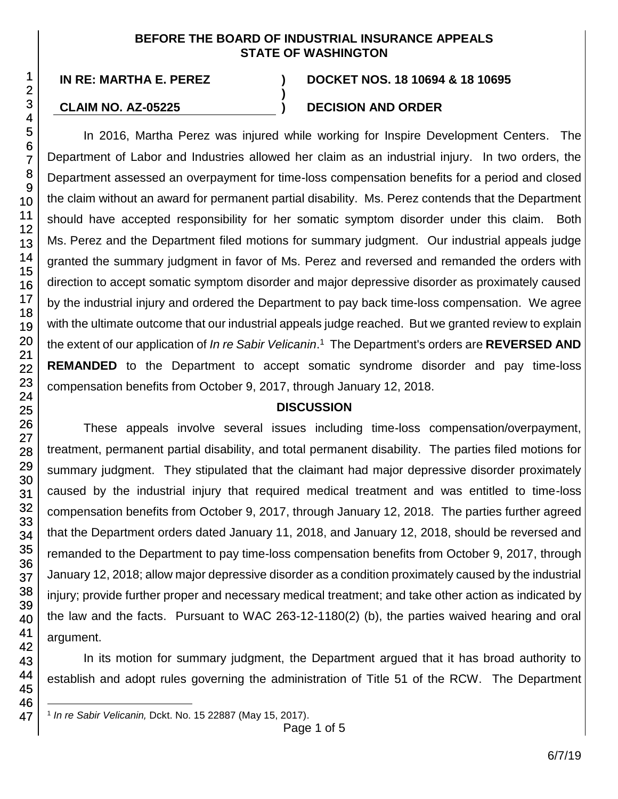#### **BEFORE THE BOARD OF INDUSTRIAL INSURANCE APPEALS STATE OF WASHINGTON**

**)**

### **IN RE: MARTHA E. PEREZ ) DOCKET NOS. 18 10694 & 18 10695**

## **CLAIM NO. AZ-05225 ) DECISION AND ORDER**

In 2016, Martha Perez was injured while working for Inspire Development Centers. The Department of Labor and Industries allowed her claim as an industrial injury. In two orders, the Department assessed an overpayment for time-loss compensation benefits for a period and closed the claim without an award for permanent partial disability. Ms. Perez contends that the Department should have accepted responsibility for her somatic symptom disorder under this claim. Both Ms. Perez and the Department filed motions for summary judgment. Our industrial appeals judge granted the summary judgment in favor of Ms. Perez and reversed and remanded the orders with direction to accept somatic symptom disorder and major depressive disorder as proximately caused by the industrial injury and ordered the Department to pay back time-loss compensation. We agree with the ultimate outcome that our industrial appeals judge reached. But we granted review to explain the extent of our application of *In re Sabir Velicanin*. <sup>1</sup> The Department's orders are **REVERSED AND REMANDED** to the Department to accept somatic syndrome disorder and pay time-loss compensation benefits from October 9, 2017, through January 12, 2018.

### **DISCUSSION**

These appeals involve several issues including time-loss compensation/overpayment, treatment, permanent partial disability, and total permanent disability. The parties filed motions for summary judgment. They stipulated that the claimant had major depressive disorder proximately caused by the industrial injury that required medical treatment and was entitled to time-loss compensation benefits from October 9, 2017, through January 12, 2018. The parties further agreed that the Department orders dated January 11, 2018, and January 12, 2018, should be reversed and remanded to the Department to pay time-loss compensation benefits from October 9, 2017, through January 12, 2018; allow major depressive disorder as a condition proximately caused by the industrial injury; provide further proper and necessary medical treatment; and take other action as indicated by the law and the facts. Pursuant to WAC 263-12-1180(2) (b), the parties waived hearing and oral argument.

In its motion for summary judgment, the Department argued that it has broad authority to establish and adopt rules governing the administration of Title 51 of the RCW. The Department

l 1 *In re Sabir Velicanin,* Dckt. No. 15 22887 (May 15, 2017).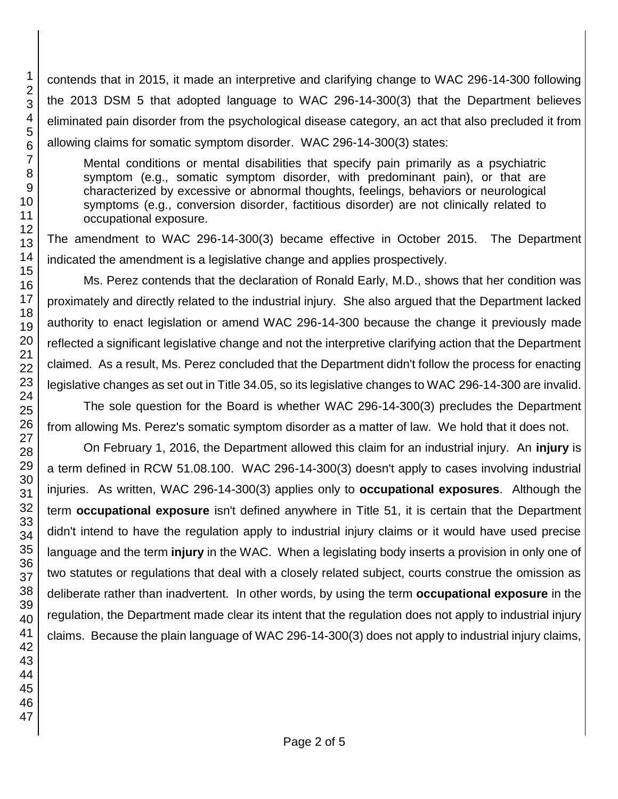contends that in 2015, it made an interpretive and clarifying change to WAC 296-14-300 following the 2013 DSM 5 that adopted language to WAC 296-14-300(3) that the Department believes eliminated pain disorder from the psychological disease category, an act that also precluded it from allowing claims for somatic symptom disorder. WAC 296-14-300(3) states:

Mental conditions or mental disabilities that specify pain primarily as a psychiatric symptom (e.g., somatic symptom disorder, with predominant pain), or that are characterized by excessive or abnormal thoughts, feelings, behaviors or neurological symptoms (e.g., conversion disorder, factitious disorder) are not clinically related to occupational exposure.

The amendment to WAC 296-14-300(3) became effective in October 2015. The Department indicated the amendment is a legislative change and applies prospectively.

Ms. Perez contends that the declaration of Ronald Early, M.D., shows that her condition was proximately and directly related to the industrial injury. She also argued that the Department lacked authority to enact legislation or amend WAC 296-14-300 because the change it previously made reflected a significant legislative change and not the interpretive clarifying action that the Department claimed. As a result, Ms. Perez concluded that the Department didn't follow the process for enacting legislative changes as set out in Title 34.05, so its legislative changes to WAC 296-14-300 are invalid.

The sole question for the Board is whether WAC 296-14-300(3) precludes the Department from allowing Ms. Perez's somatic symptom disorder as a matter of law. We hold that it does not.

On February 1, 2016, the Department allowed this claim for an industrial injury. An **injury** is a term defined in RCW 51.08.100. WAC 296-14-300(3) doesn't apply to cases involving industrial injuries. As written, WAC 296-14-300(3) applies only to **occupational exposures**. Although the term **occupational exposure** isn't defined anywhere in Title 51, it is certain that the Department didn't intend to have the regulation apply to industrial injury claims or it would have used precise language and the term **injury** in the WAC. When a legislating body inserts a provision in only one of two statutes or regulations that deal with a closely related subject, courts construe the omission as deliberate rather than inadvertent. In other words, by using the term **occupational exposure** in the regulation, the Department made clear its intent that the regulation does not apply to industrial injury claims. Because the plain language of WAC 296-14-300(3) does not apply to industrial injury claims,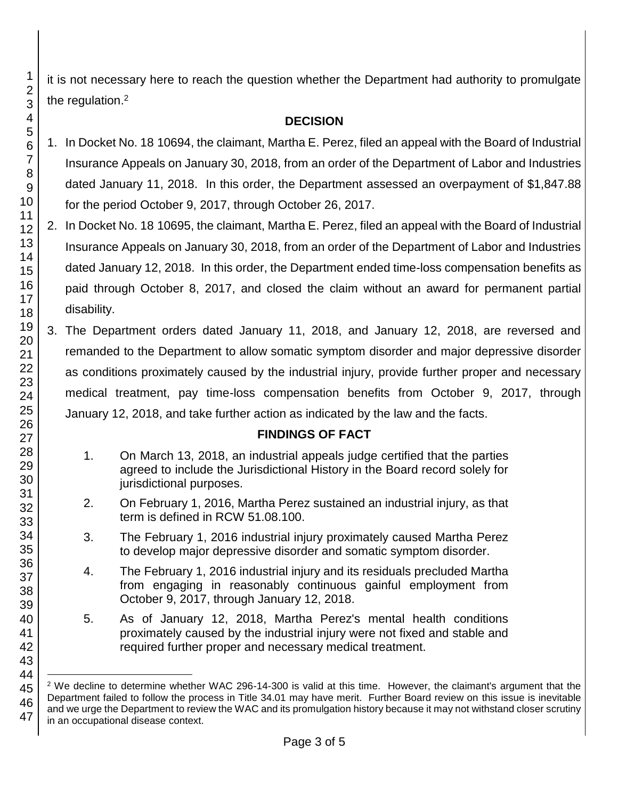it is not necessary here to reach the question whether the Department had authority to promulgate the regulation.<sup>2</sup>

# **DECISION**

- 1. In Docket No. 18 10694, the claimant, Martha E. Perez, filed an appeal with the Board of Industrial Insurance Appeals on January 30, 2018, from an order of the Department of Labor and Industries dated January 11, 2018. In this order, the Department assessed an overpayment of \$1,847.88 for the period October 9, 2017, through October 26, 2017.
- 2. In Docket No. 18 10695, the claimant, Martha E. Perez, filed an appeal with the Board of Industrial Insurance Appeals on January 30, 2018, from an order of the Department of Labor and Industries dated January 12, 2018. In this order, the Department ended time-loss compensation benefits as paid through October 8, 2017, and closed the claim without an award for permanent partial disability.
- 3. The Department orders dated January 11, 2018, and January 12, 2018, are reversed and remanded to the Department to allow somatic symptom disorder and major depressive disorder as conditions proximately caused by the industrial injury, provide further proper and necessary medical treatment, pay time-loss compensation benefits from October 9, 2017, through January 12, 2018, and take further action as indicated by the law and the facts.

# **FINDINGS OF FACT**

- 1. On March 13, 2018, an industrial appeals judge certified that the parties agreed to include the Jurisdictional History in the Board record solely for jurisdictional purposes.
- 2. On February 1, 2016, Martha Perez sustained an industrial injury, as that term is defined in RCW 51.08.100.
- 3. The February 1, 2016 industrial injury proximately caused Martha Perez to develop major depressive disorder and somatic symptom disorder.
- 4. The February 1, 2016 industrial injury and its residuals precluded Martha from engaging in reasonably continuous gainful employment from October 9, 2017, through January 12, 2018.
- 5. As of January 12, 2018, Martha Perez's mental health conditions proximately caused by the industrial injury were not fixed and stable and required further proper and necessary medical treatment.

1

l <sup>2</sup> We decline to determine whether WAC 296-14-300 is valid at this time. However, the claimant's argument that the Department failed to follow the process in Title 34.01 may have merit. Further Board review on this issue is inevitable and we urge the Department to review the WAC and its promulgation history because it may not withstand closer scrutiny in an occupational disease context.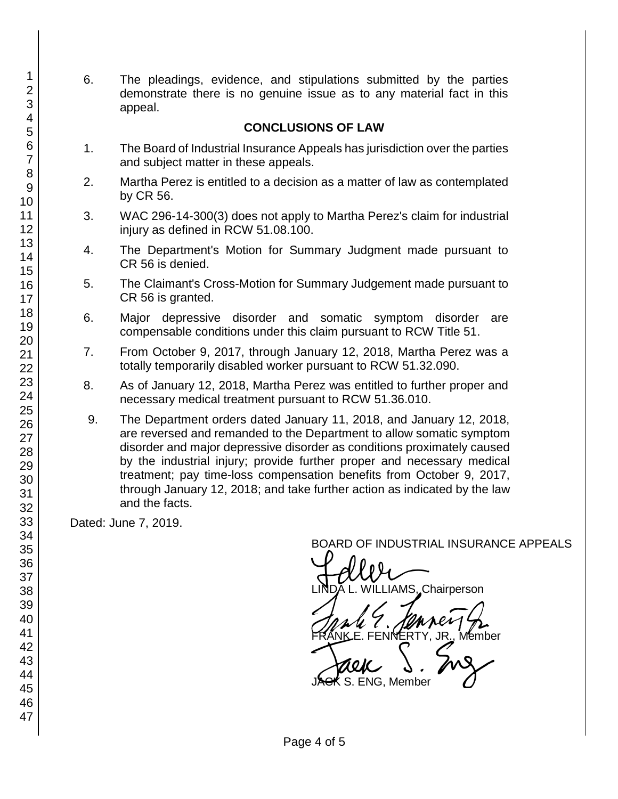6. The pleadings, evidence, and stipulations submitted by the parties demonstrate there is no genuine issue as to any material fact in this appeal.

#### **CONCLUSIONS OF LAW**

- 1. The Board of Industrial Insurance Appeals has jurisdiction over the parties and subject matter in these appeals.
- 2. Martha Perez is entitled to a decision as a matter of law as contemplated by CR 56.
- 3. WAC 296-14-300(3) does not apply to Martha Perez's claim for industrial injury as defined in RCW 51.08.100.
- 4. The Department's Motion for Summary Judgment made pursuant to CR 56 is denied.
- 5. The Claimant's Cross-Motion for Summary Judgement made pursuant to CR 56 is granted.
- 6. Major depressive disorder and somatic symptom disorder are compensable conditions under this claim pursuant to RCW Title 51.
- 7. From October 9, 2017, through January 12, 2018, Martha Perez was a totally temporarily disabled worker pursuant to RCW 51.32.090.
- 8. As of January 12, 2018, Martha Perez was entitled to further proper and necessary medical treatment pursuant to RCW 51.36.010.
- 9. The Department orders dated January 11, 2018, and January 12, 2018, are reversed and remanded to the Department to allow somatic symptom disorder and major depressive disorder as conditions proximately caused by the industrial injury; provide further proper and necessary medical treatment; pay time-loss compensation benefits from October 9, 2017, through January 12, 2018; and take further action as indicated by the law and the facts.

Dated: June 7, 2019.

BOARD OF INDUSTRIAL INSURANCE APPEALS<br>
UNDA L. WILLIAMS, Chairperson FRANKE. FENNERTY, JR., Member<br>FRANKE. FENNERTY, JR., Member<br>JACK S. ENG, Member